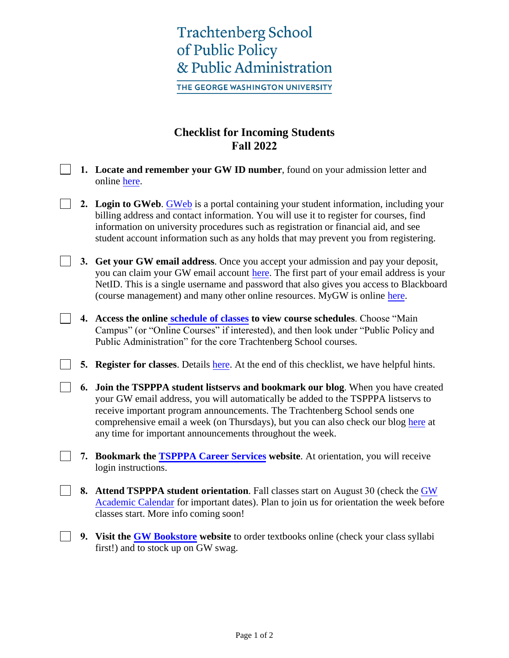# **Trachtenberg School** of Public Policy & Public Administration

THE GEORGE WASHINGTON UNIVERSITY

### **Checklist for Incoming Students Fall 2022**

- **1. Locate and remember your GW ID number**, found on your admission letter and online [here.](https://it.gwu.edu/accounts)
- **2. Login to GWeb**. [GWeb](http://banweb.gwu.edu/) is a portal containing your student information, including your billing address and contact information. You will use it to register for courses, find information on university procedures such as registration or financial aid, and see student account information such as any holds that may prevent you from registering.
	- **3. Get your GW email address**. Once you accept your admission and pay your deposit, you can claim your GW email account [here.](https://identity.gwu.edu/claim/claimAccountIndex) The first part of your email address is your NetID. This is a single username and password that also gives you access to Blackboard (course management) and many other online resources. MyGW is online [here.](http://my.gwu.edu/)
- **4. Access the online [schedule of classes](http://my.gwu.edu/mod/pws/index.cfm) to view course schedules**. Choose "Main Campus" (or "Online Courses" if interested), and then look under "Public Policy and Public Administration" for the core Trachtenberg School courses.
- **5. Register for classes**. Details [here.](https://registrar.gwu.edu/how-register-0) At the end of this checklist, we have helpful hints.
- **6. Join the TSPPPA student listservs and bookmark our blog**. When you have created your GW email address, you will automatically be added to the TSPPPA listservs to receive important program announcements. The Trachtenberg School sends one comprehensive email a week (on Thursdays), but you can also check our blog [here](https://www.gwtberg.com/category/essentials/) at any time for important announcements throughout the week.
- **7. Bookmark the [TSPPPA Career Services](https://tspppa.gwu.edu/career-advancement) website**. At orientation, you will receive login instructions.
- **8. Attend TSPPPA student orientation**. Fall classes start on August 30 (check the GW [Academic Calendar](https://www.gwu.edu/academic-calendar) for important dates). Plan to join us for orientation the week before classes start. More info coming soon!
	- **9. Visit the [GW Bookstore](https://www.bkstr.com/georgewashingtonstore/home) website** to order textbooks online (check your class syllabi first!) and to stock up on GW swag.